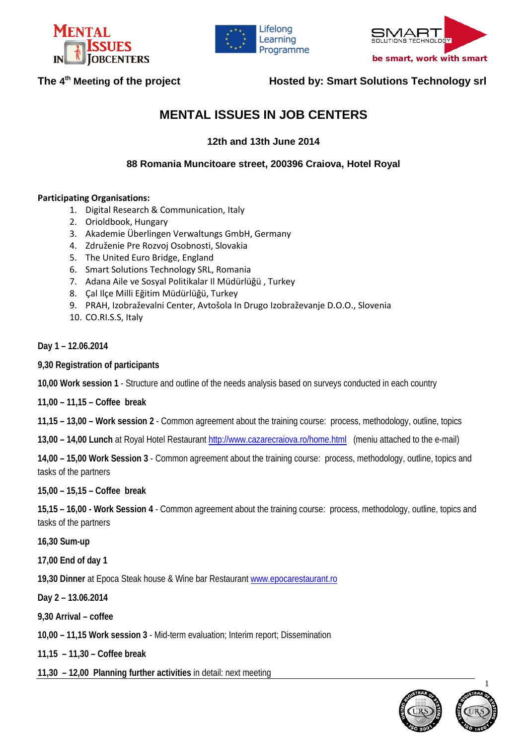





## The 4<sup>th</sup> Meeting of the project **Hosted by: Smart Solutions Technology srl**

# **MENTAL ISSUES IN JOB CENTERS**

**12th and 13th June 2014**

**88 Romania Muncitoare street, 200396 Craiova, Hotel Royal** 

### **Participating Organisations:**

- 1. Digital Research & Communication, Italy
- 2. Orioldbook, Hungary
- 3. Akademie Überlingen Verwaltungs GmbH, Germany
- 4. Združenie Pre Rozvoj Osobnosti, Slovakia
- 5. The United Euro Bridge, England
- 6. Smart Solutions Technology SRL, Romania
- 7. Adana Aile ve Sosyal Politikalar Il Müdürlüğü , Turkey
- 8. Çal Ilçe Milli Eğitim Müdürlüğü, Turkey
- 9. PRAH, Izobraževalni Center, Avtošola In Drugo Izobraževanje D.O.O., Slovenia
- 10. CO.RI.S.S, Italy
- **Day 1 – 12.06.2014**
- **9,30 Registration of participants**
- **10,00 Work session 1** Structure and outline of the needs analysis based on surveys conducted in each country
- **11,00 – 11,15 – Coffee break**
- **11,15 – 13,00 – Work session 2** Common agreement about the training course: process, methodology, outline, topics
- **13,00 – 14,00 Lunch** at Royal Hotel Restauran[t http://www.cazarecraiova.ro/home.html](http://www.cazarecraiova.ro/home.html) (meniu attached to the e-mail)

**14,00 – 15,00 Work Session 3** - Common agreement about the training course: process, methodology, outline, topics and tasks of the partners

### **15,00 – 15,15 – Coffee break**

**15,15 – 16,00 - Work Session 4** - Common agreement about the training course: process, methodology, outline, topics and tasks of the partners

**16,30 Sum-up**

**17,00 End of day 1**

**19,30 Dinner** at Epoca Steak house & Wine bar Restaurant [www.epocarestaurant.ro](http://www.epocarestaurant.ro/)

**Day 2 – 13.06.2014**

**9,30 Arrival – coffee** 

**10,00 – 11,15 Work session 3** - Mid-term evaluation; Interim report; Dissemination

**11,15 – 11,30 – Coffee break**

**11,30 – 12,00 Planning further activities** in detail: next meeting